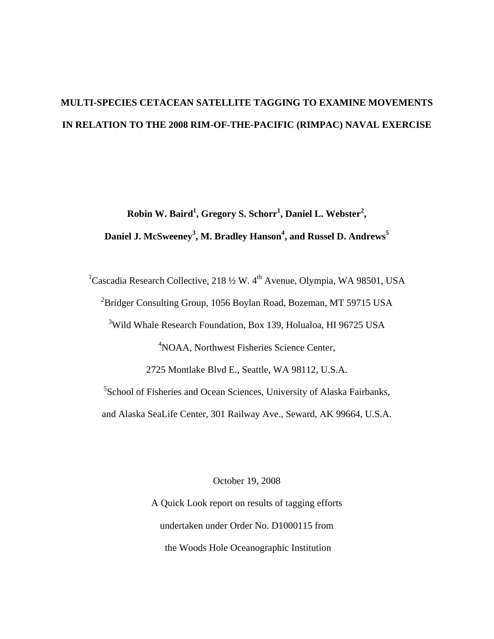# **MULTI-SPECIES CETACEAN SATELLITE TAGGING TO EXAMINE MOVEMENTS IN RELATION TO THE 2008 RIM-OF-THE-PACIFIC (RIMPAC) NAVAL EXERCISE**

 $\mathbf{R}$ obin W. Baird<sup>1</sup>, Gregory S. Schorr<sup>1</sup>, Daniel L. Webster<sup>2</sup>, **Daniel J. McSweeney3 , M. Bradley Hanson<sup>4</sup> , and Russel D. Andrews<sup>5</sup>**

<sup>1</sup>Cascadia Research Collective, 218  $\frac{1}{2}$  W. 4<sup>th</sup> Avenue, Olympia, WA 98501, USA <sup>2</sup>Bridger Consulting Group, 1056 Boylan Road, Bozeman, MT 59715 USA <sup>3</sup>Wild Whale Research Foundation, Box 139, Holualoa, HI 96725 USA <sup>4</sup>NOAA, Northwest Fisheries Science Center, 2725 Montlake Blvd E., Seattle, WA 98112, U.S.A. <sup>5</sup>School of Fisheries and Ocean Sciences, University of Alaska Fairbanks, and Alaska SeaLife Center, 301 Railway Ave., Seward, AK 99664, U.S.A.

October 19, 2008

A Quick Look report on results of tagging efforts undertaken under Order No. D1000115 from the Woods Hole Oceanographic Institution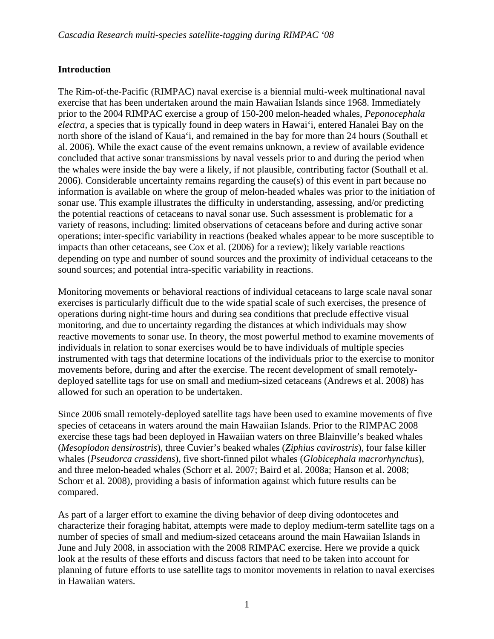# **Introduction**

The Rim-of-the-Pacific (RIMPAC) naval exercise is a biennial multi-week multinational naval exercise that has been undertaken around the main Hawaiian Islands since 1968. Immediately prior to the 2004 RIMPAC exercise a group of 150-200 melon-headed whales, *Peponocephala electra,* a species that is typically found in deep waters in Hawai'i, entered Hanalei Bay on the north shore of the island of Kaua'i, and remained in the bay for more than 24 hours (Southall et al. 2006). While the exact cause of the event remains unknown, a review of available evidence concluded that active sonar transmissions by naval vessels prior to and during the period when the whales were inside the bay were a likely, if not plausible, contributing factor (Southall et al. 2006). Considerable uncertainty remains regarding the cause(s) of this event in part because no information is available on where the group of melon-headed whales was prior to the initiation of sonar use. This example illustrates the difficulty in understanding, assessing, and/or predicting the potential reactions of cetaceans to naval sonar use. Such assessment is problematic for a variety of reasons, including: limited observations of cetaceans before and during active sonar operations; inter-specific variability in reactions (beaked whales appear to be more susceptible to impacts than other cetaceans, see Cox et al. (2006) for a review); likely variable reactions depending on type and number of sound sources and the proximity of individual cetaceans to the sound sources; and potential intra-specific variability in reactions.

Monitoring movements or behavioral reactions of individual cetaceans to large scale naval sonar exercises is particularly difficult due to the wide spatial scale of such exercises, the presence of operations during night-time hours and during sea conditions that preclude effective visual monitoring, and due to uncertainty regarding the distances at which individuals may show reactive movements to sonar use. In theory, the most powerful method to examine movements of individuals in relation to sonar exercises would be to have individuals of multiple species instrumented with tags that determine locations of the individuals prior to the exercise to monitor movements before, during and after the exercise. The recent development of small remotelydeployed satellite tags for use on small and medium-sized cetaceans (Andrews et al. 2008) has allowed for such an operation to be undertaken.

Since 2006 small remotely-deployed satellite tags have been used to examine movements of five species of cetaceans in waters around the main Hawaiian Islands. Prior to the RIMPAC 2008 exercise these tags had been deployed in Hawaiian waters on three Blainville's beaked whales (*Mesoplodon densirostris*), three Cuvier's beaked whales (*Ziphius cavirostris*), four false killer whales (*Pseudorca crassidens*), five short-finned pilot whales (*Globicephala macrorhynchus*), and three melon-headed whales (Schorr et al. 2007; Baird et al. 2008a; Hanson et al. 2008; Schorr et al. 2008), providing a basis of information against which future results can be compared.

As part of a larger effort to examine the diving behavior of deep diving odontocetes and characterize their foraging habitat, attempts were made to deploy medium-term satellite tags on a number of species of small and medium-sized cetaceans around the main Hawaiian Islands in June and July 2008, in association with the 2008 RIMPAC exercise. Here we provide a quick look at the results of these efforts and discuss factors that need to be taken into account for planning of future efforts to use satellite tags to monitor movements in relation to naval exercises in Hawaiian waters.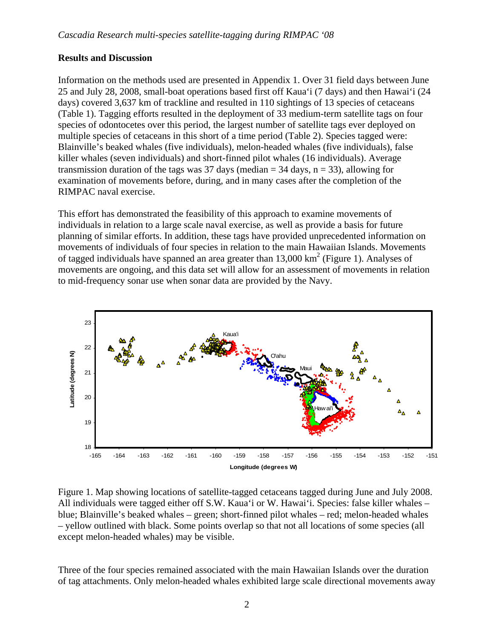## **Results and Discussion**

Information on the methods used are presented in Appendix 1. Over 31 field days between June 25 and July 28, 2008, small-boat operations based first off Kaua'i (7 days) and then Hawai'i (24 days) covered 3,637 km of trackline and resulted in 110 sightings of 13 species of cetaceans (Table 1). Tagging efforts resulted in the deployment of 33 medium-term satellite tags on four species of odontocetes over this period, the largest number of satellite tags ever deployed on multiple species of cetaceans in this short of a time period (Table 2). Species tagged were: Blainville's beaked whales (five individuals), melon-headed whales (five individuals), false killer whales (seven individuals) and short-finned pilot whales (16 individuals). Average transmission duration of the tags was 37 days (median  $=$  34 days,  $n = 33$ ), allowing for examination of movements before, during, and in many cases after the completion of the RIMPAC naval exercise.

This effort has demonstrated the feasibility of this approach to examine movements of individuals in relation to a large scale naval exercise, as well as provide a basis for future planning of similar efforts. In addition, these tags have provided unprecedented information on movements of individuals of four species in relation to the main Hawaiian Islands. Movements of tagged individuals have spanned an area greater than  $13,000 \text{ km}^2$  (Figure 1). Analyses of movements are ongoing, and this data set will allow for an assessment of movements in relation to mid-frequency sonar use when sonar data are provided by the Navy.



Figure 1. Map showing locations of satellite-tagged cetaceans tagged during June and July 2008. All individuals were tagged either off S.W. Kaua'i or W. Hawai'i. Species: false killer whales – blue; Blainville's beaked whales – green; short-finned pilot whales – red; melon-headed whales – yellow outlined with black. Some points overlap so that not all locations of some species (all except melon-headed whales) may be visible.

Three of the four species remained associated with the main Hawaiian Islands over the duration of tag attachments. Only melon-headed whales exhibited large scale directional movements away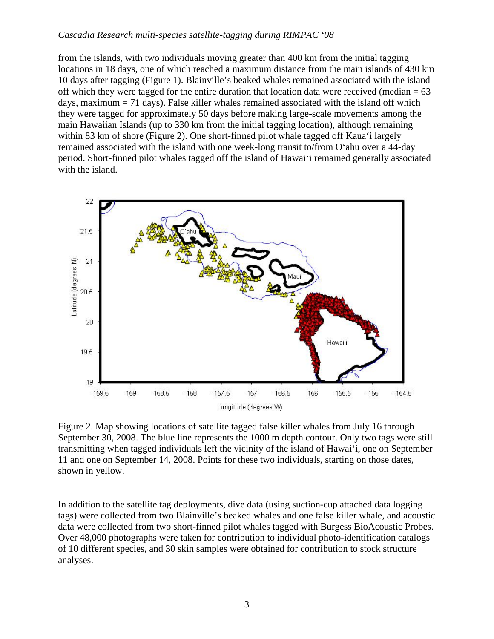from the islands, with two individuals moving greater than 400 km from the initial tagging locations in 18 days, one of which reached a maximum distance from the main islands of 430 km 10 days after tagging (Figure 1). Blainville's beaked whales remained associated with the island off which they were tagged for the entire duration that location data were received (median  $= 63$ ) days, maximum = 71 days). False killer whales remained associated with the island off which they were tagged for approximately 50 days before making large-scale movements among the main Hawaiian Islands (up to 330 km from the initial tagging location), although remaining within 83 km of shore (Figure 2). One short-finned pilot whale tagged off Kaua'i largely remained associated with the island with one week-long transit to/from O'ahu over a 44-day period. Short-finned pilot whales tagged off the island of Hawai'i remained generally associated with the island.



Figure 2. Map showing locations of satellite tagged false killer whales from July 16 through September 30, 2008. The blue line represents the 1000 m depth contour. Only two tags were still transmitting when tagged individuals left the vicinity of the island of Hawai'i, one on September 11 and one on September 14, 2008. Points for these two individuals, starting on those dates, shown in yellow.

In addition to the satellite tag deployments, dive data (using suction-cup attached data logging tags) were collected from two Blainville's beaked whales and one false killer whale, and acoustic data were collected from two short-finned pilot whales tagged with Burgess BioAcoustic Probes. Over 48,000 photographs were taken for contribution to individual photo-identification catalogs of 10 different species, and 30 skin samples were obtained for contribution to stock structure analyses.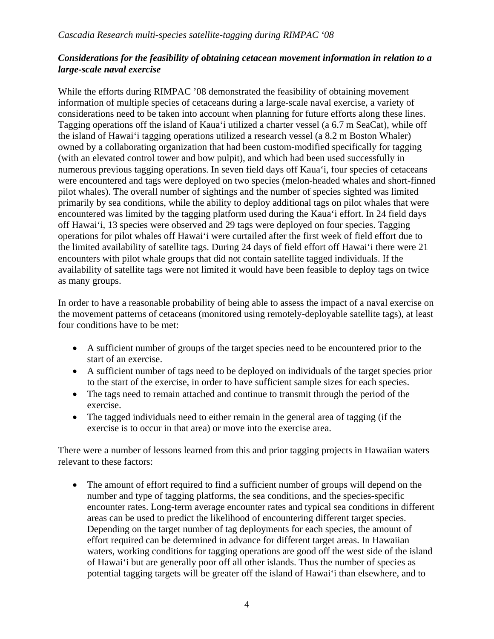## *Considerations for the feasibility of obtaining cetacean movement information in relation to a large-scale naval exercise*

While the efforts during RIMPAC '08 demonstrated the feasibility of obtaining movement information of multiple species of cetaceans during a large-scale naval exercise, a variety of considerations need to be taken into account when planning for future efforts along these lines. Tagging operations off the island of Kaua'i utilized a charter vessel (a 6.7 m SeaCat), while off the island of Hawai'i tagging operations utilized a research vessel (a 8.2 m Boston Whaler) owned by a collaborating organization that had been custom-modified specifically for tagging (with an elevated control tower and bow pulpit), and which had been used successfully in numerous previous tagging operations. In seven field days off Kaua'i, four species of cetaceans were encountered and tags were deployed on two species (melon-headed whales and short-finned pilot whales). The overall number of sightings and the number of species sighted was limited primarily by sea conditions, while the ability to deploy additional tags on pilot whales that were encountered was limited by the tagging platform used during the Kaua'i effort. In 24 field days off Hawai'i, 13 species were observed and 29 tags were deployed on four species. Tagging operations for pilot whales off Hawai'i were curtailed after the first week of field effort due to the limited availability of satellite tags. During 24 days of field effort off Hawai'i there were 21 encounters with pilot whale groups that did not contain satellite tagged individuals. If the availability of satellite tags were not limited it would have been feasible to deploy tags on twice as many groups.

In order to have a reasonable probability of being able to assess the impact of a naval exercise on the movement patterns of cetaceans (monitored using remotely-deployable satellite tags), at least four conditions have to be met:

- A sufficient number of groups of the target species need to be encountered prior to the start of an exercise.
- A sufficient number of tags need to be deployed on individuals of the target species prior to the start of the exercise, in order to have sufficient sample sizes for each species.
- The tags need to remain attached and continue to transmit through the period of the exercise.
- The tagged individuals need to either remain in the general area of tagging (if the exercise is to occur in that area) or move into the exercise area.

There were a number of lessons learned from this and prior tagging projects in Hawaiian waters relevant to these factors:

• The amount of effort required to find a sufficient number of groups will depend on the number and type of tagging platforms, the sea conditions, and the species-specific encounter rates. Long-term average encounter rates and typical sea conditions in different areas can be used to predict the likelihood of encountering different target species. Depending on the target number of tag deployments for each species, the amount of effort required can be determined in advance for different target areas. In Hawaiian waters, working conditions for tagging operations are good off the west side of the island of Hawai'i but are generally poor off all other islands. Thus the number of species as potential tagging targets will be greater off the island of Hawai'i than elsewhere, and to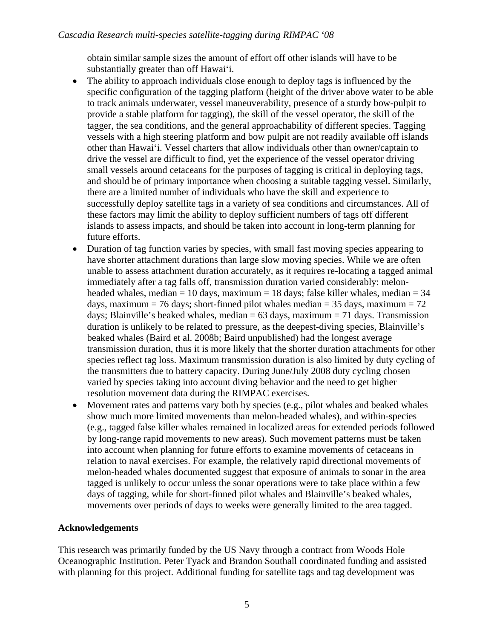obtain similar sample sizes the amount of effort off other islands will have to be substantially greater than off Hawai'i.

- The ability to approach individuals close enough to deploy tags is influenced by the specific configuration of the tagging platform (height of the driver above water to be able to track animals underwater, vessel maneuverability, presence of a sturdy bow-pulpit to provide a stable platform for tagging), the skill of the vessel operator, the skill of the tagger, the sea conditions, and the general approachability of different species. Tagging vessels with a high steering platform and bow pulpit are not readily available off islands other than Hawai'i. Vessel charters that allow individuals other than owner/captain to drive the vessel are difficult to find, yet the experience of the vessel operator driving small vessels around cetaceans for the purposes of tagging is critical in deploying tags, and should be of primary importance when choosing a suitable tagging vessel. Similarly, there are a limited number of individuals who have the skill and experience to successfully deploy satellite tags in a variety of sea conditions and circumstances. All of these factors may limit the ability to deploy sufficient numbers of tags off different islands to assess impacts, and should be taken into account in long-term planning for future efforts.
- Duration of tag function varies by species, with small fast moving species appearing to have shorter attachment durations than large slow moving species. While we are often unable to assess attachment duration accurately, as it requires re-locating a tagged animal immediately after a tag falls off, transmission duration varied considerably: melonheaded whales, median  $= 10$  days, maximum  $= 18$  days; false killer whales, median  $= 34$ days, maximum = 76 days; short-finned pilot whales median = 35 days, maximum = 72 days; Blainville's beaked whales, median  $= 63$  days, maximum  $= 71$  days. Transmission duration is unlikely to be related to pressure, as the deepest-diving species, Blainville's beaked whales (Baird et al. 2008b; Baird unpublished) had the longest average transmission duration, thus it is more likely that the shorter duration attachments for other species reflect tag loss. Maximum transmission duration is also limited by duty cycling of the transmitters due to battery capacity. During June/July 2008 duty cycling chosen varied by species taking into account diving behavior and the need to get higher resolution movement data during the RIMPAC exercises.
- Movement rates and patterns vary both by species (e.g., pilot whales and beaked whales show much more limited movements than melon-headed whales), and within-species (e.g., tagged false killer whales remained in localized areas for extended periods followed by long-range rapid movements to new areas). Such movement patterns must be taken into account when planning for future efforts to examine movements of cetaceans in relation to naval exercises. For example, the relatively rapid directional movements of melon-headed whales documented suggest that exposure of animals to sonar in the area tagged is unlikely to occur unless the sonar operations were to take place within a few days of tagging, while for short-finned pilot whales and Blainville's beaked whales, movements over periods of days to weeks were generally limited to the area tagged.

# **Acknowledgements**

This research was primarily funded by the US Navy through a contract from Woods Hole Oceanographic Institution. Peter Tyack and Brandon Southall coordinated funding and assisted with planning for this project. Additional funding for satellite tags and tag development was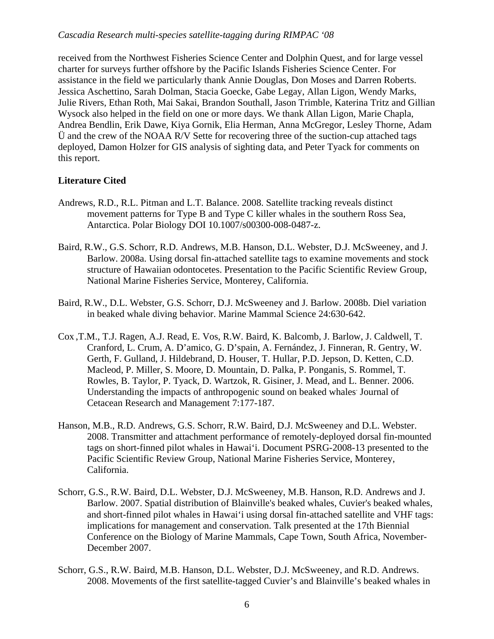received from the Northwest Fisheries Science Center and Dolphin Quest, and for large vessel charter for surveys further offshore by the Pacific Islands Fisheries Science Center. For assistance in the field we particularly thank Annie Douglas, Don Moses and Darren Roberts. Jessica Aschettino, Sarah Dolman, Stacia Goecke, Gabe Legay, Allan Ligon, Wendy Marks, Julie Rivers, Ethan Roth, Mai Sakai, Brandon Southall, Jason Trimble, Katerina Tritz and Gillian Wysock also helped in the field on one or more days. We thank Allan Ligon, Marie Chapla, Andrea Bendlin, Erik Dawe, Kiya Gornik, Elia Herman, Anna McGregor, Lesley Thorne, Adam Ü and the crew of the NOAA R/V Sette for recovering three of the suction-cup attached tags deployed, Damon Holzer for GIS analysis of sighting data, and Peter Tyack for comments on this report.

## **Literature Cited**

- Andrews, R.D., R.L. Pitman and L.T. Balance. 2008. Satellite tracking reveals distinct movement patterns for Type B and Type C killer whales in the southern Ross Sea, Antarctica. Polar Biology DOI 10.1007/s00300-008-0487-z.
- Baird, R.W., G.S. Schorr, R.D. Andrews, M.B. Hanson, D.L. Webster, D.J. McSweeney, and J. Barlow. 2008a. Using dorsal fin-attached satellite tags to examine movements and stock structure of Hawaiian odontocetes. Presentation to the Pacific Scientific Review Group, National Marine Fisheries Service, Monterey, California.
- Baird, R.W., D.L. Webster, G.S. Schorr, D.J. McSweeney and J. Barlow. 2008b. Diel variation in beaked whale diving behavior. Marine Mammal Science 24:630-642.
- Cox ,T.M., T.J. Ragen, A.J. Read, E. Vos, R.W. Baird, K. Balcomb, J. Barlow, J. Caldwell, T. Cranford, L. Crum, A. D'amico, G. D'spain, A. Fernández, J. Finneran, R. Gentry, W. Gerth, F. Gulland, J. Hildebrand, D. Houser, T. Hullar, P.D. Jepson, D. Ketten, C.D. Macleod, P. Miller, S. Moore, D. Mountain, D. Palka, P. Ponganis, S. Rommel, T. Rowles, B. Taylor, P. Tyack, D. Wartzok, R. Gisiner, J. Mead, and L. Benner. 2006. Understanding the impacts of anthropogenic sound on beaked whales Journal of Cetacean Research and Management 7:177-187.
- Hanson, M.B., R.D. Andrews, G.S. Schorr, R.W. Baird, D.J. McSweeney and D.L. Webster. 2008. Transmitter and attachment performance of remotely-deployed dorsal fin-mounted tags on short-finned pilot whales in Hawai'i. Document PSRG-2008-13 presented to the Pacific Scientific Review Group, National Marine Fisheries Service, Monterey, California.
- Schorr, G.S., R.W. Baird, D.L. Webster, D.J. McSweeney, M.B. Hanson, R.D. Andrews and J. Barlow. 2007. Spatial distribution of Blainville's beaked whales, Cuvier's beaked whales, and short-finned pilot whales in Hawai'i using dorsal fin-attached satellite and VHF tags: implications for management and conservation. Talk presented at the 17th Biennial Conference on the Biology of Marine Mammals, Cape Town, South Africa, November-December 2007.
- Schorr, G.S., R.W. Baird, M.B. Hanson, D.L. Webster, D.J. McSweeney, and R.D. Andrews. 2008. Movements of the first satellite-tagged Cuvier's and Blainville's beaked whales in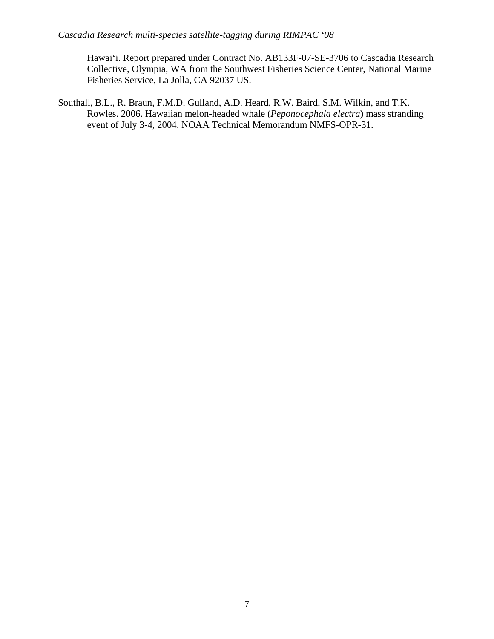Hawai'i. Report prepared under Contract No. AB133F-07-SE-3706 to Cascadia Research Collective, Olympia, WA from the Southwest Fisheries Science Center, National Marine Fisheries Service, La Jolla, CA 92037 US.

Southall, B.L., R. Braun, F.M.D. Gulland, A.D. Heard, R.W. Baird, S.M. Wilkin, and T.K. Rowles. 2006. Hawaiian melon-headed whale (*Peponocephala electra***)** mass stranding event of July 3-4, 2004. NOAA Technical Memorandum NMFS-OPR-31.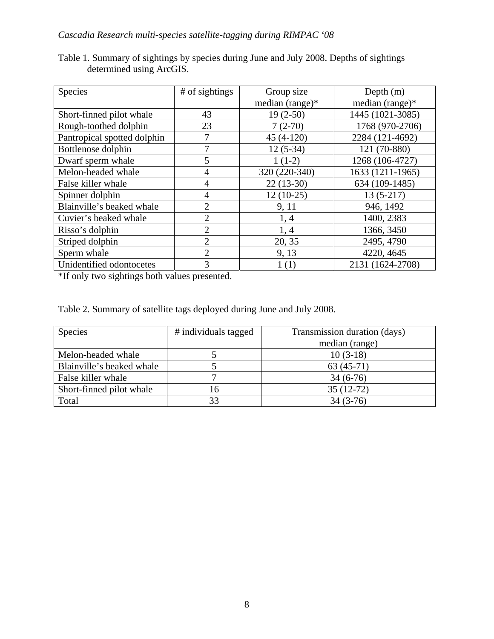| Species                     | # of sightings | Group size      | Depth $(m)$      |  |
|-----------------------------|----------------|-----------------|------------------|--|
|                             |                | median (range)* | median (range)*  |  |
| Short-finned pilot whale    | 43             | $19(2-50)$      | 1445 (1021-3085) |  |
| Rough-toothed dolphin       | 23             | $7(2-70)$       | 1768 (970-2706)  |  |
| Pantropical spotted dolphin |                | $45(4-120)$     | 2284 (121-4692)  |  |
| Bottlenose dolphin          | 7              | $12(5-34)$      | 121 (70-880)     |  |
| Dwarf sperm whale           | 5              | $1(1-2)$        | 1268 (106-4727)  |  |
| Melon-headed whale          | 4              | 320 (220-340)   | 1633 (1211-1965) |  |
| False killer whale          | 4              | $22(13-30)$     | 634 (109-1485)   |  |
| Spinner dolphin             | 4              | $12(10-25)$     | $13(5-217)$      |  |
| Blainville's beaked whale   | $\overline{2}$ | 9, 11           | 946, 1492        |  |
| Cuvier's beaked whale       | $\overline{2}$ | 1, 4            | 1400, 2383       |  |
| Risso's dolphin             | 2              | 1, 4            | 1366, 3450       |  |
| Striped dolphin             | $\overline{2}$ | 20, 35          | 2495, 4790       |  |
| Sperm whale                 | $\overline{2}$ | 9, 13           | 4220, 4645       |  |
| Unidentified odontocetes    | 3              | 1(1)            | 2131 (1624-2708) |  |

Table 1. Summary of sightings by species during June and July 2008. Depths of sightings determined using ArcGIS.

\*If only two sightings both values presented.

Table 2. Summary of satellite tags deployed during June and July 2008.

| <b>Species</b>            | # individuals tagged | Transmission duration (days) |  |
|---------------------------|----------------------|------------------------------|--|
|                           |                      | median (range)               |  |
| Melon-headed whale        |                      | $10(3-18)$                   |  |
| Blainville's beaked whale |                      | $63(45-71)$                  |  |
| False killer whale        |                      | $34(6-76)$                   |  |
| Short-finned pilot whale  | 16                   | $35(12-72)$                  |  |
| Total                     | 33                   | $34(3-76)$                   |  |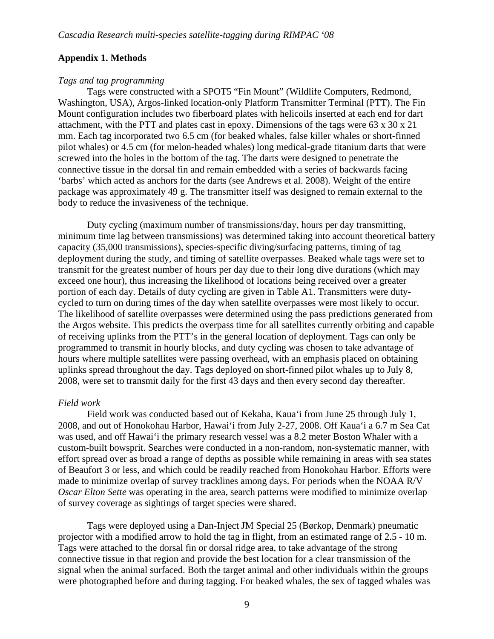#### **Appendix 1. Methods**

#### *Tags and tag programming*

 Tags were constructed with a SPOT5 "Fin Mount" (Wildlife Computers, Redmond, Washington, USA), Argos-linked location-only Platform Transmitter Terminal (PTT). The Fin Mount configuration includes two fiberboard plates with helicoils inserted at each end for dart attachment, with the PTT and plates cast in epoxy. Dimensions of the tags were  $63 \times 30 \times 21$ mm. Each tag incorporated two 6.5 cm (for beaked whales, false killer whales or short-finned pilot whales) or 4.5 cm (for melon-headed whales) long medical-grade titanium darts that were screwed into the holes in the bottom of the tag. The darts were designed to penetrate the connective tissue in the dorsal fin and remain embedded with a series of backwards facing 'barbs' which acted as anchors for the darts (see Andrews et al. 2008). Weight of the entire package was approximately 49 g. The transmitter itself was designed to remain external to the body to reduce the invasiveness of the technique.

 Duty cycling (maximum number of transmissions/day, hours per day transmitting, minimum time lag between transmissions) was determined taking into account theoretical battery capacity (35,000 transmissions), species-specific diving/surfacing patterns, timing of tag deployment during the study, and timing of satellite overpasses. Beaked whale tags were set to transmit for the greatest number of hours per day due to their long dive durations (which may exceed one hour), thus increasing the likelihood of locations being received over a greater portion of each day. Details of duty cycling are given in Table A1. Transmitters were dutycycled to turn on during times of the day when satellite overpasses were most likely to occur. The likelihood of satellite overpasses were determined using the pass predictions generated from the Argos website. This predicts the overpass time for all satellites currently orbiting and capable of receiving uplinks from the PTT's in the general location of deployment. Tags can only be programmed to transmit in hourly blocks, and duty cycling was chosen to take advantage of hours where multiple satellites were passing overhead, with an emphasis placed on obtaining uplinks spread throughout the day. Tags deployed on short-finned pilot whales up to July 8, 2008, were set to transmit daily for the first 43 days and then every second day thereafter.

#### *Field work*

Field work was conducted based out of Kekaha, Kaua'i from June 25 through July 1, 2008, and out of Honokohau Harbor, Hawai'i from July 2-27, 2008. Off Kaua'i a 6.7 m Sea Cat was used, and off Hawai'i the primary research vessel was a 8.2 meter Boston Whaler with a custom-built bowsprit. Searches were conducted in a non-random, non-systematic manner, with effort spread over as broad a range of depths as possible while remaining in areas with sea states of Beaufort 3 or less, and which could be readily reached from Honokohau Harbor. Efforts were made to minimize overlap of survey tracklines among days. For periods when the NOAA R/V *Oscar Elton Sette* was operating in the area, search patterns were modified to minimize overlap of survey coverage as sightings of target species were shared.

Tags were deployed using a Dan-Inject JM Special 25 (Børkop, Denmark) pneumatic projector with a modified arrow to hold the tag in flight, from an estimated range of 2.5 - 10 m. Tags were attached to the dorsal fin or dorsal ridge area, to take advantage of the strong connective tissue in that region and provide the best location for a clear transmission of the signal when the animal surfaced. Both the target animal and other individuals within the groups were photographed before and during tagging. For beaked whales, the sex of tagged whales was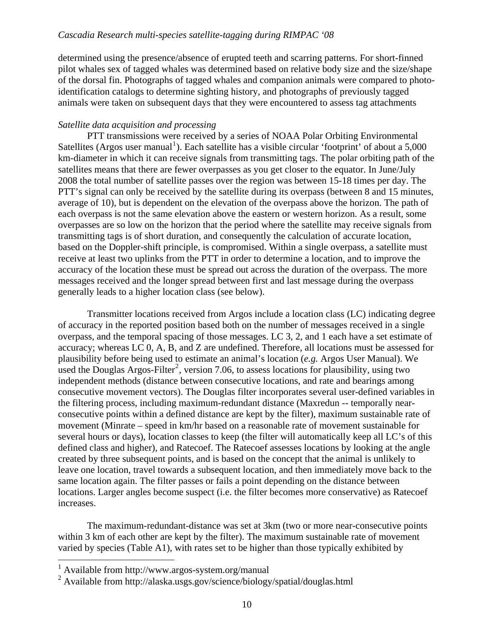determined using the presence/absence of erupted teeth and scarring patterns. For short-finned pilot whales sex of tagged whales was determined based on relative body size and the size/shape of the dorsal fin. Photographs of tagged whales and companion animals were compared to photoidentification catalogs to determine sighting history, and photographs of previously tagged animals were taken on subsequent days that they were encountered to assess tag attachments

#### *Satellite data acquisition and processing*

 PTT transmissions were received by a series of NOAA Polar Orbiting Environmental Satellites (Argos user manual<sup>[1](#page-10-0)</sup>). Each satellite has a visible circular 'footprint' of about a 5,000 km-diameter in which it can receive signals from transmitting tags. The polar orbiting path of the satellites means that there are fewer overpasses as you get closer to the equator. In June/July 2008 the total number of satellite passes over the region was between 15-18 times per day. The PTT's signal can only be received by the satellite during its overpass (between 8 and 15 minutes, average of 10), but is dependent on the elevation of the overpass above the horizon. The path of each overpass is not the same elevation above the eastern or western horizon. As a result, some overpasses are so low on the horizon that the period where the satellite may receive signals from transmitting tags is of short duration, and consequently the calculation of accurate location, based on the Doppler-shift principle, is compromised. Within a single overpass, a satellite must receive at least two uplinks from the PTT in order to determine a location, and to improve the accuracy of the location these must be spread out across the duration of the overpass. The more messages received and the longer spread between first and last message during the overpass generally leads to a higher location class (see below).

Transmitter locations received from Argos include a location class (LC) indicating degree of accuracy in the reported position based both on the number of messages received in a single overpass, and the temporal spacing of those messages. LC 3, 2, and 1 each have a set estimate of accuracy; whereas LC 0, A, B, and Z are undefined. Therefore, all locations must be assessed for plausibility before being used to estimate an animal's location (*e.g.* Argos User Manual). We used the Douglas Argos-Filter<sup>[2](#page-10-1)</sup>, version 7.06, to assess locations for plausibility, using two independent methods (distance between consecutive locations, and rate and bearings among consecutive movement vectors). The Douglas filter incorporates several user-defined variables in the filtering process, including maximum-redundant distance (Maxredun -- temporally nearconsecutive points within a defined distance are kept by the filter), maximum sustainable rate of movement (Minrate – speed in km/hr based on a reasonable rate of movement sustainable for several hours or days), location classes to keep (the filter will automatically keep all LC's of this defined class and higher), and Ratecoef. The Ratecoef assesses locations by looking at the angle created by three subsequent points, and is based on the concept that the animal is unlikely to leave one location, travel towards a subsequent location, and then immediately move back to the same location again. The filter passes or fails a point depending on the distance between locations. Larger angles become suspect (i.e. the filter becomes more conservative) as Ratecoef increases.

The maximum-redundant-distance was set at 3km (two or more near-consecutive points within 3 km of each other are kept by the filter). The maximum sustainable rate of movement varied by species (Table A1), with rates set to be higher than those typically exhibited by

 $\overline{a}$ 

<span id="page-10-0"></span><sup>1</sup> Available from http://www.argos-system.org/manual

<span id="page-10-1"></span><sup>&</sup>lt;sup>2</sup> Available from http://alaska.usgs.gov/science/biology/spatial/douglas.html